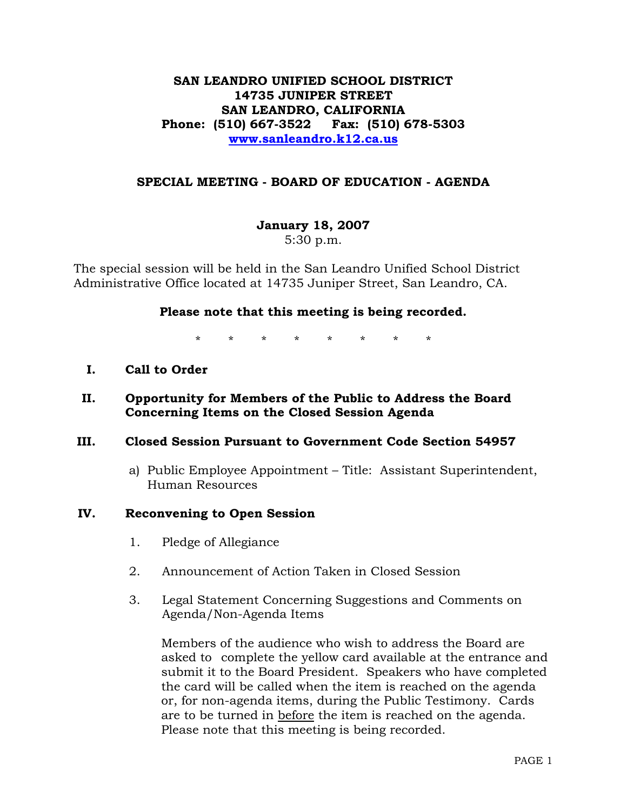# **SAN LEANDRO UNIFIED SCHOOL DISTRICT 14735 JUNIPER STREET SAN LEANDRO, CALIFORNIA Phone: (510) 667-3522 Fax: (510) 678-5303 www.sanleandro.k12.ca.us**

## **SPECIAL MEETING - BOARD OF EDUCATION - AGENDA**

**January 18, 2007** 

5:30 p.m.

The special session will be held in the San Leandro Unified School District Administrative Office located at 14735 Juniper Street, San Leandro, CA.

#### **Please note that this meeting is being recorded.**

\* \* \* \* \* \* \* \*

**I. Call to Order** 

# **II. Opportunity for Members of the Public to Address the Board Concerning Items on the Closed Session Agenda**

#### **III. Closed Session Pursuant to Government Code Section 54957**

a) Public Employee Appointment – Title: Assistant Superintendent, Human Resources

#### **IV. Reconvening to Open Session**

- 1. Pledge of Allegiance
- 2. Announcement of Action Taken in Closed Session
- 3. Legal Statement Concerning Suggestions and Comments on Agenda/Non-Agenda Items

 Members of the audience who wish to address the Board are asked to complete the yellow card available at the entrance and submit it to the Board President. Speakers who have completed the card will be called when the item is reached on the agenda or, for non-agenda items, during the Public Testimony. Cards are to be turned in before the item is reached on the agenda. Please note that this meeting is being recorded.